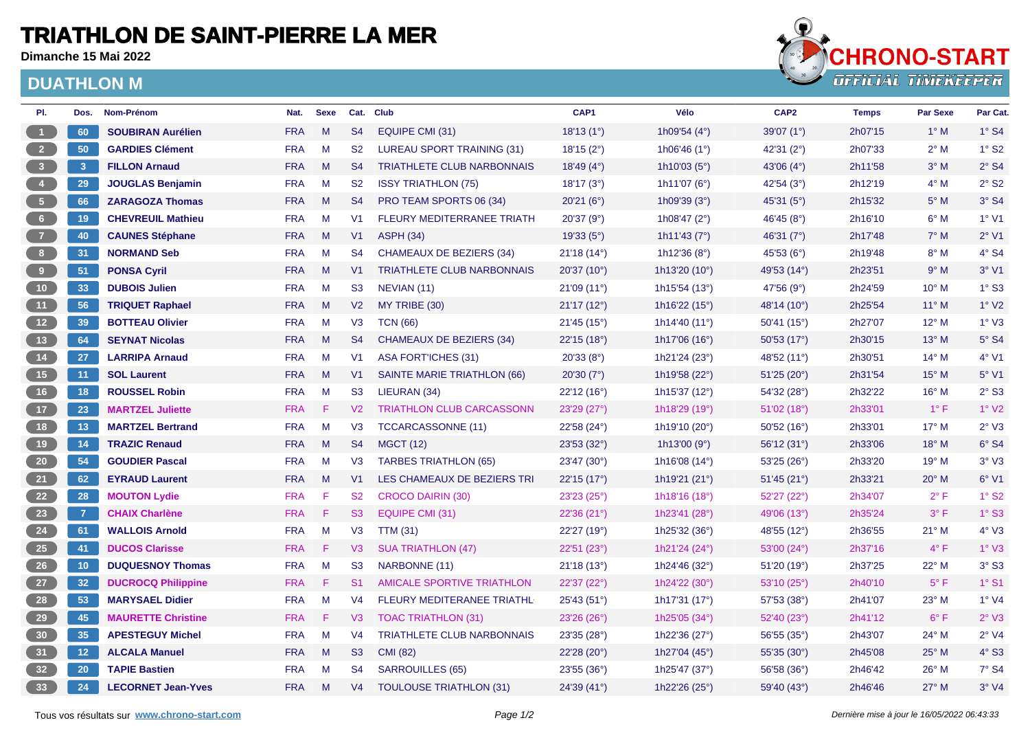## **TRIATHLON DE SAINT-PIERRE LA MER**

**Dimanche 15 Mai 2022**

## **DUATHLON M**



| PI.                     | Dos.            | Nom-Prénom                | Nat.       | <b>Sexe</b> |                | Cat. Club                         | CAP1        | Vélo                   | CAP <sub>2</sub>    | <b>Temps</b> | <b>Par Sexe</b> | Par Cat.                 |
|-------------------------|-----------------|---------------------------|------------|-------------|----------------|-----------------------------------|-------------|------------------------|---------------------|--------------|-----------------|--------------------------|
| $\mathbf{1}$            | 60              | <b>SOUBIRAN Aurélien</b>  | <b>FRA</b> | M           | S <sub>4</sub> | EQUIPE CMI (31)                   | 18'13(1°)   | 1h09'54 $(4^{\circ})$  | 39'07(1°)           | 2h07'15      | $1^\circ$ M     | $1°$ S4                  |
| 2 <sup>7</sup>          | 50              | <b>GARDIES Clément</b>    | <b>FRA</b> | M           | S <sub>2</sub> | LUREAU SPORT TRAINING (31)        | 18'15(2°)   | 1h06'46 $(1°)$         | 42'31 (2°)          | 2h07'33      | $2^{\circ}$ M   | $1^\circ$ S <sub>2</sub> |
| $\overline{\mathbf{3}}$ | 3 <sup>2</sup>  | <b>FILLON Arnaud</b>      | <b>FRA</b> | M           | S <sub>4</sub> | <b>TRIATHLETE CLUB NARBONNAIS</b> | 18'49(4°)   | 1h10'03 $(5^{\circ})$  | 43'06 (4°)          | 2h11'58      | $3^\circ$ M     | $2°$ S4                  |
|                         | 29              | <b>JOUGLAS Benjamin</b>   | <b>FRA</b> | M           | <b>S2</b>      | <b>ISSY TRIATHLON (75)</b>        | 18'17 (3°)  | 1h11'07 (6°)           | 42'54 (3°)          | 2h12'19      | $4^\circ$ M     | $2°$ S <sub>2</sub>      |
| 5 <sub>1</sub>          | 66              | <b>ZARAGOZA Thomas</b>    | <b>FRA</b> | M           | S <sub>4</sub> | PRO TEAM SPORTS 06 (34)           | 20'21(6°)   | 1h09'39 $(3°)$         | 45'31 $(5^{\circ})$ | 2h15'32      | $5^\circ$ M     | $3°$ S4                  |
| 6 <sub>1</sub>          | 19              | <b>CHEVREUIL Mathieu</b>  | <b>FRA</b> | M           | V <sub>1</sub> | <b>FLEURY MEDITERRANEE TRIATH</b> | 20'37(9°)   | 1h08'47 $(2^{\circ})$  | 46'45 $(8^{\circ})$ | 2h16'10      | $6^\circ$ M     | $1°$ V1                  |
| $\overline{7}$          | 40              | <b>CAUNES Stéphane</b>    | <b>FRA</b> | M           | V <sub>1</sub> | <b>ASPH (34)</b>                  | 19'33(5°)   | 1h11'43 $(7°)$         | 46'31 $(7^{\circ})$ | 2h17'48      | $7^\circ$ M     | $2°$ V1                  |
| 8 <sup>1</sup>          | 31              | <b>NORMAND Seb</b>        | <b>FRA</b> | M           | S <sub>4</sub> | <b>CHAMEAUX DE BEZIERS (34)</b>   | 21'18 (14°) | 1h12'36 (8°)           | 45'53 (6°)          | 2h19'48      | $8^\circ$ M     | $4°$ S4                  |
| 9 <sup>°</sup>          | 51              | <b>PONSA Cyril</b>        | <b>FRA</b> | M           | V <sub>1</sub> | <b>TRIATHLETE CLUB NARBONNAIS</b> | 20'37 (10°) | 1h13'20 $(10^{\circ})$ | 49'53 (14°)         | 2h23'51      | $9^\circ$ M     | $3°$ V1                  |
| 10 <sub>1</sub>         | 33              | <b>DUBOIS Julien</b>      | <b>FRA</b> | M           | S <sub>3</sub> | NEVIAN (11)                       | 21'09(11°)  | 1h15'54 $(13°)$        | 47'56 (9°)          | 2h24'59      | $10^{\circ}$ M  | $1°$ S <sub>3</sub>      |
| 11 <sub>1</sub>         | 56              | <b>TRIQUET Raphael</b>    | <b>FRA</b> | M           | V <sub>2</sub> | MY TRIBE (30)                     | 21'17(12°)  | 1h16'22 $(15^{\circ})$ | 48'14 (10°)         | 2h25'54      | $11^{\circ}$ M  | $1°$ V <sub>2</sub>      |
| 12                      | 39              | <b>BOTTEAU Olivier</b>    | <b>FRA</b> | M           | V3             | <b>TCN (66)</b>                   | 21'45(15°)  | 1h14'40 (11°)          | 50'41(15°)          | 2h27'07      | $12^{\circ}$ M  | $1°\ V3$                 |
| 13                      | 64              | <b>SEYNAT Nicolas</b>     | <b>FRA</b> | M           | S <sub>4</sub> | <b>CHAMEAUX DE BEZIERS (34)</b>   | 22'15 (18°) | 1h17'06 (16°)          | 50'53 (17°)         | 2h30'15      | $13^{\circ}$ M  | $5°$ S4                  |
| $14$                    | 27              | <b>LARRIPA Arnaud</b>     | <b>FRA</b> | M           | V <sub>1</sub> | ASA FORT'ICHES (31)               | 20'33(8°)   | 1h21'24 (23°)          | 48'52 (11°)         | 2h30'51      | $14^{\circ}$ M  | $4°$ V1                  |
| 15                      | 11              | <b>SOL Laurent</b>        | <b>FRA</b> | M           | V1             | SAINTE MARIE TRIATHLON (66)       | 20'30(7°)   | 1h19'58 (22°)          | 51'25(20°)          | 2h31'54      | $15^{\circ}$ M  | 5° V1                    |
| 16 <sup>°</sup>         | 18              | <b>ROUSSEL Robin</b>      | <b>FRA</b> | M           | S <sub>3</sub> | LIEURAN (34)                      | 22'12 (16°) | 1h15'37 $(12°)$        | 54'32 (28°)         | 2h32'22      | $16^{\circ}$ M  | $2°$ S <sub>3</sub>      |
| 17 <sup>°</sup>         | 23              | <b>MARTZEL Juliette</b>   | <b>FRA</b> | F           | V <sub>2</sub> | TRIATHLON CLUB CARCASSONN         | 23'29(27°)  | 1h18'29 (19°)          | 51'02(18°)          | 2h33'01      | $1^{\circ}$ F   | $1°$ V2                  |
| 18                      | 13              | <b>MARTZEL Bertrand</b>   | <b>FRA</b> | M           | V <sub>3</sub> | <b>TCCARCASSONNE (11)</b>         | 22'58 (24°) | 1h19'10 (20°)          | 50'52(16°)          | 2h33'01      | $17^\circ$ M    | $2°\text{V}3$            |
| 19 <sub>°</sub>         | 14              | <b>TRAZIC Renaud</b>      | <b>FRA</b> | M           | S <sub>4</sub> | <b>MGCT (12)</b>                  | 23'53 (32°) | 1h13'00 (9°)           | 56'12 (31°)         | 2h33'06      | $18^{\circ}$ M  | 6°S4                     |
| $20\degree$             | 54              | <b>GOUDIER Pascal</b>     | <b>FRA</b> | M           | V3             | <b>TARBES TRIATHLON (65)</b>      | 23'47 (30°) | 1h16'08 $(14^{\circ})$ | 53'25(26°)          | 2h33'20      | $19^{\circ}$ M  | $3°\ V3$                 |
| 21                      | 62              | <b>EYRAUD Laurent</b>     | <b>FRA</b> | M           | V1             | LES CHAMEAUX DE BEZIERS TRI       | 22'15(17°)  | 1h19'21 (21°)          | 51'45 (21°)         | 2h33'21      | $20^\circ$ M    | 6°V1                     |
| 22                      | 28              | <b>MOUTON Lydie</b>       | <b>FRA</b> | F           | S <sub>2</sub> | <b>CROCO DAIRIN (30)</b>          | 23'23(25°)  | 1h18'16 $(18°)$        | 52'27(22°)          | 2h34'07      | $2^{\circ}$ F   | 1° S2                    |
| 23                      | $\overline{7}$  | <b>CHAIX Charlène</b>     | <b>FRA</b> | F           | S3             | <b>EQUIPE CMI (31)</b>            | 22'36 (21°) | 1h23'41 (28°)          | 49'06 (13°)         | 2h35'24      | $3^{\circ}$ F   | $1°$ S3                  |
| 24                      | 61              | <b>WALLOIS Arnold</b>     | <b>FRA</b> | M           | V <sub>3</sub> | <b>TTM (31)</b>                   | 22'27 (19°) | 1h25'32 (36°)          | 48'55 (12°)         | 2h36'55      | $21^{\circ}$ M  | $4°\,V3$                 |
| 25                      | 41              | <b>DUCOS Clarisse</b>     | <b>FRA</b> | F           | V3             | <b>SUA TRIATHLON (47)</b>         | 22'51(23°)  | 1h21'24 $(24^{\circ})$ | 53'00 (24°)         | 2h37'16      | $4^{\circ}$ F   | 1° <sub>V3</sub>         |
| 26                      | 10 <sup>°</sup> | <b>DUQUESNOY Thomas</b>   | <b>FRA</b> | M           | S <sub>3</sub> | NARBONNE (11)                     | 21'18 (13°) | 1h24'46 (32°)          | 51'20(19°)          | 2h37'25      | 22° M           | $3°$ S <sub>3</sub>      |
| 27                      | 32              | <b>DUCROCQ Philippine</b> | <b>FRA</b> | F           | S <sub>1</sub> | AMICALE SPORTIVE TRIATHLON        | 22'37 (22°) | 1h24'22 $(30^{\circ})$ | 53'10(25°)          | 2h40'10      | $5^{\circ}$ F   | $1°$ S <sub>1</sub>      |
| 28                      | 53              | <b>MARYSAEL Didier</b>    | <b>FRA</b> | M           | V <sub>4</sub> | FLEURY MEDITERANEE TRIATHL        | 25'43 (51°) | 1h17'31 $(17°)$        | 57'53 (38°)         | 2h41'07      | 23° M           | $1°$ V4                  |
| 29                      | 45              | <b>MAURETTE Christine</b> | <b>FRA</b> | F           | V3             | <b>TOAC TRIATHLON (31)</b>        | 23'26 (26°) | 1h25'05 (34°)          | 52'40 (23°)         | 2h41'12      | $6^{\circ}$ F   | $2°$ V3                  |
| 30 <sup>°</sup>         | 35              | <b>APESTEGUY Michel</b>   | <b>FRA</b> | M           | V <sub>4</sub> | <b>TRIATHLETE CLUB NARBONNAIS</b> | 23'35 (28°) | 1h22'36 (27°)          | 56'55(35)           | 2h43'07      | $24^{\circ}$ M  | $2°$ V4                  |
| 31                      | $12$            | <b>ALCALA Manuel</b>      | <b>FRA</b> | M           | S <sub>3</sub> | CMI (82)                          | 22'28 (20°) | 1h27'04 $(45^{\circ})$ | 55'35(30°)          | 2h45'08      | $25^{\circ}$ M  | $4^\circ$ S3             |
| 32 <sub>2</sub>         | 20              | <b>TAPIE Bastien</b>      | <b>FRA</b> | M           | S <sub>4</sub> | <b>SARROUILLES (65)</b>           | 23'55 (36°) | 1h25'47 (37°)          | 56'58 (36°)         | 2h46'42      | $26^{\circ}$ M  | 7° S4                    |
| 33                      | 24              | <b>LECORNET Jean-Yves</b> | <b>FRA</b> | M           | V <sub>4</sub> | <b>TOULOUSE TRIATHLON (31)</b>    | 24'39 (41°) | 1h22'26 (25°)          | 59'40 (43°)         | 2h46'46      | $27^\circ$ M    | $3°\,V4$                 |